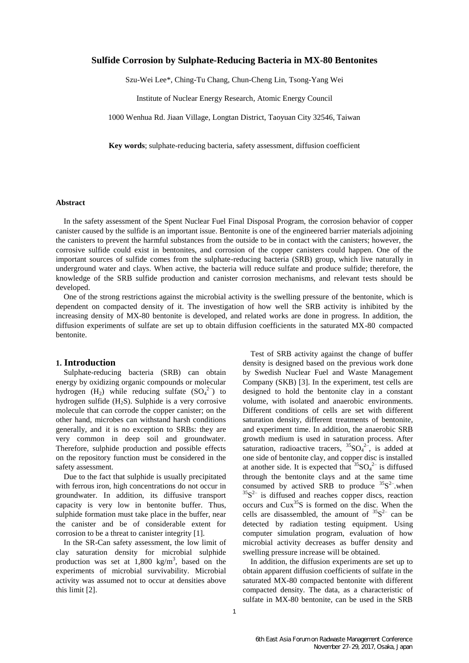## **Sulfide Corrosion by Sulphate-Reducing Bacteria in MX-80 Bentonites**

Szu-Wei Lee\*, Ching-Tu Chang, Chun-Cheng Lin, Tsong-Yang Wei

Institute of Nuclear Energy Research, Atomic Energy Council

1000 Wenhua Rd. Jiaan Village, Longtan District, Taoyuan City 32546, Taiwan

**Key words**; sulphate-reducing bacteria, safety assessment, diffusion coefficient

## **Abstract**

In the safety assessment of the Spent Nuclear Fuel Final Disposal Program, the corrosion behavior of copper canister caused by the sulfide is an important issue. Bentonite is one of the engineered barrier materials adjoining the canisters to prevent the harmful substances from the outside to be in contact with the canisters; however, the corrosive sulfide could exist in bentonites, and corrosion of the copper canisters could happen. One of the important sources of sulfide comes from the sulphate-reducing bacteria (SRB) group, which live naturally in underground water and clays. When active, the bacteria will reduce sulfate and produce sulfide; therefore, the knowledge of the SRB sulfide production and canister corrosion mechanisms, and relevant tests should be developed.

One of the strong restrictions against the microbial activity is the swelling pressure of the bentonite, which is dependent on compacted density of it. The investigation of how well the SRB activity is inhibited by the increasing density of MX-80 bentonite is developed, and related works are done in progress. In addition, the diffusion experiments of sulfate are set up to obtain diffusion coefficients in the saturated MX-80 compacted bentonite.

#### **1. Introduction**

Sulphate-reducing bacteria (SRB) can obtain energy by oxidizing organic compounds or molecular hydrogen  $(H_2)$  while reducing sulfate  $(SO_4^2$ <sup>-</sup>) to hydrogen sulfide  $(H_2S)$ . Sulphide is a very corrosive molecule that can corrode the copper canister; on the other hand, microbes can withstand harsh conditions generally, and it is no exception to SRBs: they are very common in deep soil and groundwater. Therefore, sulphide production and possible effects on the repository function must be considered in the safety assessment.

Due to the fact that sulphide is usually precipitated with ferrous iron, high concentrations do not occur in groundwater. In addition, its diffusive transport capacity is very low in bentonite buffer. Thus, sulphide formation must take place in the buffer, near the canister and be of considerable extent for corrosion to be a threat to canister integrity [1].

In the SR-Can safety assessment, the low limit of clay saturation density for microbial sulphide production was set at  $1,800 \text{ kg/m}^3$ , based on the experiments of microbial survivability. Microbial activity was assumed not to occur at densities above this limit [2].

Test of SRB activity against the change of buffer density is designed based on the previous work done by Swedish Nuclear Fuel and Waste Management Company (SKB) [3]. In the experiment, test cells are designed to hold the bentonite clay in a constant volume, with isolated and anaerobic environments. Different conditions of cells are set with different saturation density, different treatments of bentonite, and experiment time. In addition, the anaerobic SRB growth medium is used in saturation process. After saturation, radioactive tracers,  ${}^{35}SO_4{}^{2-}$ , is added at one side of bentonite clay, and copper disc is installed at another side. It is expected that  ${}^{35}SO_4{}^{2-}$  is diffused through the bentonite clays and at the same time consumed by actived SRB to produce  ${}^{35}S^2$ -when  $35S<sup>2-</sup>$  is diffused and reaches copper discs, reaction occurs and Cux<sup>35</sup>S is formed on the disc. When the cells are disassembled, the amount of  ${}^{35}S^2$  can be detected by radiation testing equipment. Using computer simulation program, evaluation of how microbial activity decreases as buffer density and swelling pressure increase will be obtained.

In addition, the diffusion experiments are set up to obtain apparent diffusion coefficients of sulfate in the saturated MX-80 compacted bentonite with different compacted density. The data, as a characteristic of sulfate in MX-80 bentonite, can be used in the SRB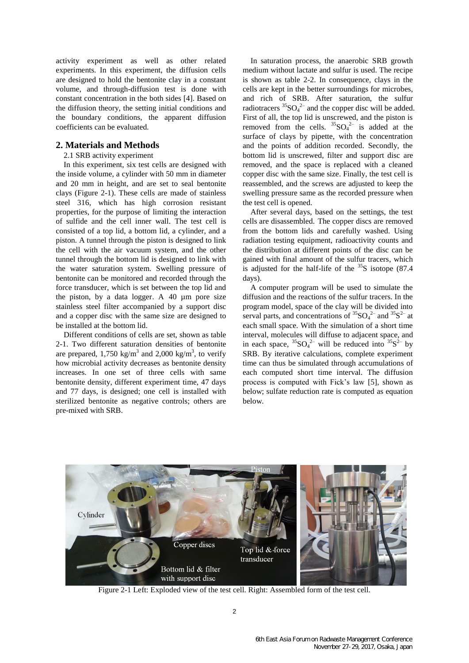activity experiment as well as other related experiments. In this experiment, the diffusion cells are designed to hold the bentonite clay in a constant volume, and through-diffusion test is done with constant concentration in the both sides [4]. Based on the diffusion theory, the setting initial conditions and the boundary conditions, the apparent diffusion coefficients can be evaluated.

# **2. Materials and Methods**

## 2.1 SRB activity experiment

In this experiment, six test cells are designed with the inside volume, a cylinder with 50 mm in diameter and 20 mm in height, and are set to seal bentonite clays (Figure 2-1). These cells are made of stainless steel 316, which has high corrosion resistant properties, for the purpose of limiting the interaction of sulfide and the cell inner wall. The test cell is consisted of a top lid, a bottom lid, a cylinder, and a piston. A tunnel through the piston is designed to link the cell with the air vacuum system, and the other tunnel through the bottom lid is designed to link with the water saturation system. Swelling pressure of bentonite can be monitored and recorded through the force transducer, which is set between the top lid and the piston, by a data logger. A 40 µm pore size stainless steel filter accompanied by a support disc and a copper disc with the same size are designed to be installed at the bottom lid.

Different conditions of cells are set, shown as table 2-1. Two different saturation densities of bentonite are prepared,  $1,750 \text{ kg/m}^3$  and  $2,000 \text{ kg/m}^3$ , to verify how microbial activity decreases as bentonite density increases. In one set of three cells with same bentonite density, different experiment time, 47 days and 77 days, is designed; one cell is installed with sterilized bentonite as negative controls; others are pre-mixed with SRB.

In saturation process, the anaerobic SRB growth medium without lactate and sulfur is used. The recipe is shown as table 2-2. In consequence, clays in the cells are kept in the better surroundings for microbes, and rich of SRB. After saturation, the sulfur radiotracers  ${}^{35}SO_4{}^{2-}$  and the copper disc will be added. First of all, the top lid is unscrewed, and the piston is removed from the cells.  ${}^{35}SO_4{}^{2-}$  is added at the surface of clays by pipette, with the concentration and the points of addition recorded. Secondly, the bottom lid is unscrewed, filter and support disc are removed, and the space is replaced with a cleaned copper disc with the same size. Finally, the test cell is reassembled, and the screws are adjusted to keep the swelling pressure same as the recorded pressure when the test cell is opened.

After several days, based on the settings, the test cells are disassembled. The copper discs are removed from the bottom lids and carefully washed. Using radiation testing equipment, radioactivity counts and the distribution at different points of the disc can be gained with final amount of the sulfur tracers, which is adjusted for the half-life of the  $35S$  isotope (87.4) days).

A computer program will be used to simulate the diffusion and the reactions of the sulfur tracers. In the program model, space of the clay will be divided into serval parts, and concentrations of  ${}^{35}SO_4{}^{2-}$  and  ${}^{35}S^2{}^-$  at each small space. With the simulation of a short time interval, molecules will diffuse to adjacent space, and in each space,  ${}^{35}SO_4{}^{2-}$  will be reduced into  ${}^{35}S^{2-}$  by SRB. By iterative calculations, complete experiment time can thus be simulated through accumulations of each computed short time interval. The diffusion process is computed with Fick's law [5], shown as below; sulfate reduction rate is computed as equation below.



Figure 2-1 Left: Exploded view of the test cell. Right: Assembled form of the test cell.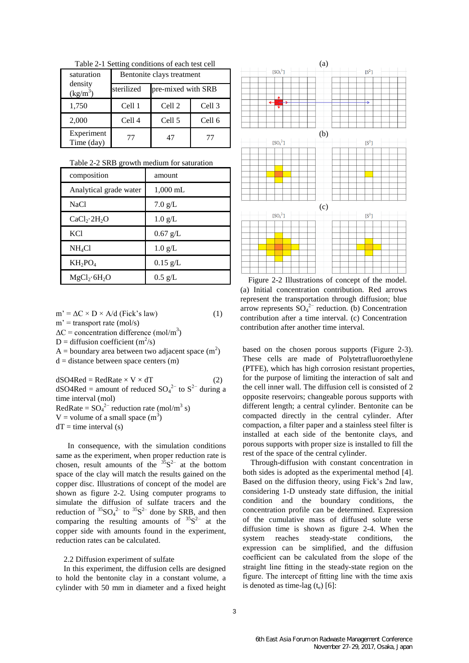| Table 2-1 Setting conditions of each test cell |  |  |
|------------------------------------------------|--|--|
|------------------------------------------------|--|--|

| saturation               | Bentonite clays treatment |                    |        |  |  |
|--------------------------|---------------------------|--------------------|--------|--|--|
| density<br>$(kg/m^3)$    | sterilized                | pre-mixed with SRB |        |  |  |
| 1,750                    | Cell 1                    | Cell 2             | Cell 3 |  |  |
| 2,000                    | Cell 4                    | Cell 5             | Cell 6 |  |  |
| Experiment<br>Time (day) | 77                        | 47                 | 77     |  |  |

| Table 2-2 SRB growth medium for saturation |  |  |  |  |
|--------------------------------------------|--|--|--|--|
|--------------------------------------------|--|--|--|--|

| composition                          | amount            |
|--------------------------------------|-------------------|
| Analytical grade water               | 1,000 mL          |
| <b>NaCl</b>                          | $7.0 \text{ g/L}$ |
| CaCl <sub>2</sub> ·2H <sub>2</sub> O | $1.0 \text{ g/L}$ |
| <b>KCl</b>                           | $0.67$ g/L        |
| $NH_4Cl$                             | $1.0 \text{ g/L}$ |
| $KH_2PO_4$                           | $0.15$ g/L        |
| $MgCl_2 \cdot 6H_2O$                 | $0.5 \text{ g/L}$ |

 $m' = \Delta C \times D \times A/d$  (Fick's law) (1)  $m'$  = transport rate (mol/s)  $\Delta C$  = concentration difference (mol/m<sup>3</sup>) D = diffusion coefficient  $(m^2/s)$ A = boundary area between two adjacent space  $(m^2)$  $d = distance between space centers (m)$ 

 $dSO4Red = RedRate \times V \times dT$  (2)  $dSO4Red =$  amount of reduced  $SO_4^{2-}$  to  $S^{2-}$  during a time interval (mol) RedRate =  $SO_4^{2-}$  reduction rate (mol/m<sup>3</sup> s)  $V =$  volume of a small space  $(m<sup>3</sup>)$  $dT =$  time interval (s)

 In consequence, with the simulation conditions same as the experiment, when proper reduction rate is chosen, result amounts of the  ${}^{35}S^{2-}$  at the bottom space of the clay will match the results gained on the copper disc. Illustrations of concept of the model are shown as figure 2-2. Using computer programs to simulate the diffusion of sulfate tracers and the reduction of  ${}^{35}SO_4^{2-}$  to  ${}^{35}S^{2-}$  done by SRB, and then comparing the resulting amounts of  ${}^{35}S^{2-}$  at the copper side with amounts found in the experiment, reduction rates can be calculated.

#### 2.2 Diffusion experiment of sulfate

In this experiment, the diffusion cells are designed to hold the bentonite clay in a constant volume, a cylinder with 50 mm in diameter and a fixed height



Figure 2-2 Illustrations of concept of the model. (a) Initial concentration contribution. Red arrows represent the transportation through diffusion; blue arrow represents  $SO_4^2$ <sup>-</sup> reduction. (b) Concentration contribution after a time interval. (c) Concentration contribution after another time interval.

based on the chosen porous supports (Figure 2-3). These cells are made of Polytetrafluoroethylene (PTFE), which has high corrosion resistant properties, for the purpose of limiting the interaction of salt and the cell inner wall. The diffusion cell is consisted of 2 opposite reservoirs; changeable porous supports with different length; a central cylinder. Bentonite can be compacted directly in the central cylinder. After compaction, a filter paper and a stainless steel filter is installed at each side of the bentonite clays, and porous supports with proper size is installed to fill the rest of the space of the central cylinder.

Through-diffusion with constant concentration in both sides is adopted as the experimental method [4]. Based on the diffusion theory, using Fick's 2nd law, considering 1-D unsteady state diffusion, the initial condition and the boundary conditions, the concentration profile can be determined. Expression of the cumulative mass of diffused solute verse diffusion time is shown as figure 2-4. When the system reaches steady-state conditions, the expression can be simplified, and the diffusion coefficient can be calculated from the slope of the straight line fitting in the steady-state region on the figure. The intercept of fitting line with the time axis is denoted as time-lag  $(t_e)$  [6]: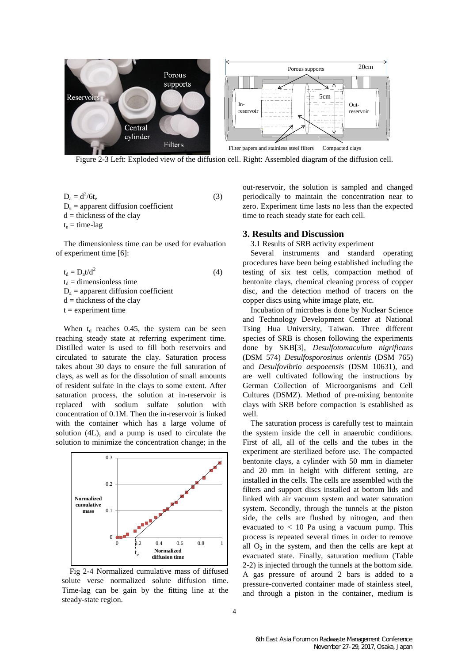

Figure 2-3 Left: Exploded view of the diffusion cell. Right: Assembled diagram of the diffusion cell.

$$
D_a = d^2/6t_e
$$
  
\n
$$
D_a =
$$
 apparent diffusion coefficient  
\n
$$
d =
$$
 thickness of the clay  
\n
$$
t_e =
$$
 time-lag

The dimensionless time can be used for evaluation of experiment time [6]:

 $t_d = D_a t/d^2$ (4)  $t_d$  = dimensionless time  $D_a$  = apparent diffusion coefficient  $d =$  thickness of the clay  $t =$  experiment time

When  $t_d$  reaches 0.45, the system can be seen reaching steady state at referring experiment time. Distilled water is used to fill both reservoirs and circulated to saturate the clay. Saturation process takes about 30 days to ensure the full saturation of clays, as well as for the dissolution of small amounts of resident sulfate in the clays to some extent. After saturation process, the solution at in-reservoir is replaced with sodium sulfate solution with concentration of 0.1M. Then the in-reservoir is linked with the container which has a large volume of solution (4L), and a pump is used to circulate the solution to minimize the concentration change; in the



Fig 2-4 Normalized cumulative mass of diffused solute verse normalized solute diffusion time. Time-lag can be gain by the fitting line at the steady-state region.

out-reservoir, the solution is sampled and changed periodically to maintain the concentration near to zero. Experiment time lasts no less than the expected time to reach steady state for each cell.

#### **3. Results and Discussion**

3.1 Results of SRB activity experiment

Several instruments and standard operating procedures have been being established including the testing of six test cells, compaction method of bentonite clays, chemical cleaning process of copper disc, and the detection method of tracers on the copper discs using white image plate, etc.

Incubation of microbes is done by Nuclear Science and Technology Development Center at National Tsing Hua University, Taiwan. Three different species of SRB is chosen following the experiments done by SKB[3], *Desulfotomaculum nigrificans* (DSM 574) *Desulfosporosinus orientis* (DSM 765) and *Desulfovibrio aespoeensis* (DSM 10631), and are well cultivated following the instructions by German Collection of Microorganisms and Cell Cultures (DSMZ). Method of pre-mixing bentonite clays with SRB before compaction is established as well.

The saturation process is carefully test to maintain the system inside the cell in anaerobic conditions. First of all, all of the cells and the tubes in the experiment are sterilized before use. The compacted bentonite clays, a cylinder with 50 mm in diameter and 20 mm in height with different setting, are installed in the cells. The cells are assembled with the filters and support discs installed at bottom lids and linked with air vacuum system and water saturation system. Secondly, through the tunnels at the piston side, the cells are flushed by nitrogen, and then evacuated to  $< 10$  Pa using a vacuum pump. This process is repeated several times in order to remove all  $O_2$  in the system, and then the cells are kept at evacuated state. Finally, saturation medium (Table 2-2) is injected through the tunnels at the bottom side. A gas pressure of around 2 bars is added to a pressure-converted container made of stainless steel, and through a piston in the container, medium is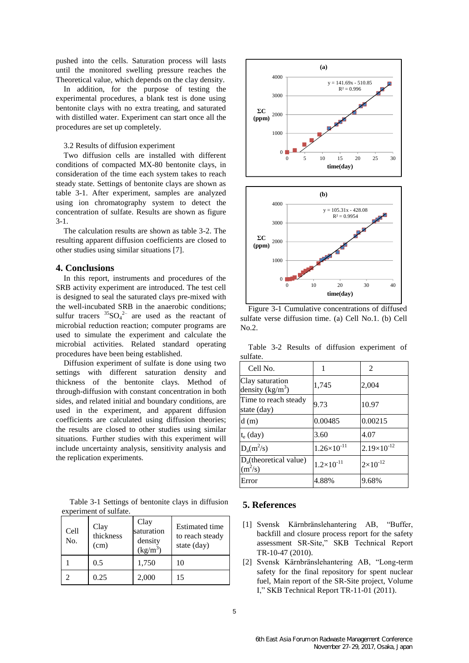pushed into the cells. Saturation process will lasts until the monitored swelling pressure reaches the Theoretical value, which depends on the clay density.

In addition, for the purpose of testing the experimental procedures, a blank test is done using bentonite clays with no extra treating, and saturated with distilled water. Experiment can start once all the procedures are set up completely.

### 3.2 Results of diffusion experiment

Two diffusion cells are installed with different conditions of compacted MX-80 bentonite clays, in consideration of the time each system takes to reach steady state. Settings of bentonite clays are shown as table 3-1. After experiment, samples are analyzed using ion chromatography system to detect the concentration of sulfate. Results are shown as figure 3-1.

The calculation results are shown as table 3-2. The resulting apparent diffusion coefficients are closed to other studies using similar situations [7].

# **4. Conclusions**

In this report, instruments and procedures of the SRB activity experiment are introduced. The test cell is designed to seal the saturated clays pre-mixed with the well-incubated SRB in the anaerobic conditions; sulfur tracers  ${}^{35}SO_4{}^{2-}$  are used as the reactant of microbial reduction reaction; computer programs are used to simulate the experiment and calculate the microbial activities. Related standard operating procedures have been being established.

Diffusion experiment of sulfate is done using two settings with different saturation density and thickness of the bentonite clays. Method of through-diffusion with constant concentration in both sides, and related initial and boundary conditions, are used in the experiment, and apparent diffusion coefficients are calculated using diffusion theories; the results are closed to other studies using similar situations. Further studies with this experiment will include uncertainty analysis, sensitivity analysis and the replication experiments.

Table 3-1 Settings of bentonite clays in diffusion experiment of sulfate.

| Cell<br>No. | Clay<br>thickness<br>(cm) | Clay<br>saturation<br>density<br>$(kg/m^3)$ | <b>Estimated time</b><br>to reach steady<br>state (day) |
|-------------|---------------------------|---------------------------------------------|---------------------------------------------------------|
|             | 0.5                       | 1,750                                       | 10                                                      |
|             | 0.25                      | 2,000                                       | 15                                                      |





Figure 3-1 Cumulative concentrations of diffused sulfate verse diffusion time. (a) Cell No.1. (b) Cell  $N<sub>0</sub>$  2.

Table 3-2 Results of diffusion experiment of sulfate.

| Cell No.                                 |                        | 2                    |
|------------------------------------------|------------------------|----------------------|
| Clay saturation<br>density $(kg/m^3)$    | 1,745                  | 2,004                |
| Time to reach steady<br>state (day)      | 9.73                   | 10.97                |
| d(m)                                     | 0.00485                | 0.00215              |
| $t_e$ (day)                              | 3.60                   | 4.07                 |
| $D_a(m^2/s)$                             | $1.26 \times 10^{-11}$ | $2.19\times10^{-12}$ |
| $D_{a}$ (theoretical value)<br>$(m^2/s)$ | $1.2 \times 10^{-11}$  | $2 \times 10^{-12}$  |
| Error                                    | 4.88%                  | 9.68%                |

## **5. References**

- [1] Svensk Kärnbränslehantering AB, "Buffer, backfill and closure process report for the safety assessment SR-Site," SKB Technical Report TR-10-47 (2010).
- [2] Svensk Kärnbränslehantering AB, "Long-term safety for the final repository for spent nuclear fuel, Main report of the SR-Site project, Volume I," SKB Technical Report TR-11-01 (2011).